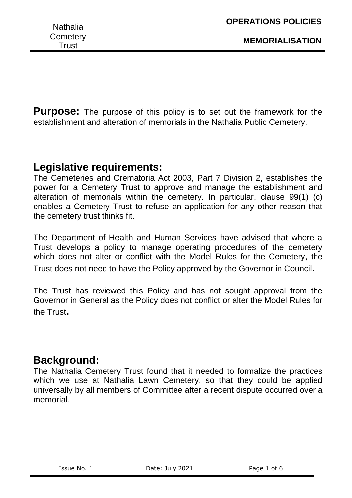**MEMORIALISATION**

**Purpose:** The purpose of this policy is to set out the framework for the establishment and alteration of memorials in the Nathalia Public Cemetery.

# **Legislative requirements:**

The Cemeteries and Crematoria Act 2003, Part 7 Division 2, establishes the power for a Cemetery Trust to approve and manage the establishment and alteration of memorials within the cemetery. In particular, clause 99(1) (c) enables a Cemetery Trust to refuse an application for any other reason that the cemetery trust thinks fit.

The Department of Health and Human Services have advised that where a Trust develops a policy to manage operating procedures of the cemetery which does not alter or conflict with the Model Rules for the Cemetery, the Trust does not need to have the Policy approved by the Governor in Council**.**

The Trust has reviewed this Policy and has not sought approval from the Governor in General as the Policy does not conflict or alter the Model Rules for the Trust**.**

# **Background:**

The Nathalia Cemetery Trust found that it needed to formalize the practices which we use at Nathalia Lawn Cemetery, so that they could be applied universally by all members of Committee after a recent dispute occurred over a memorial.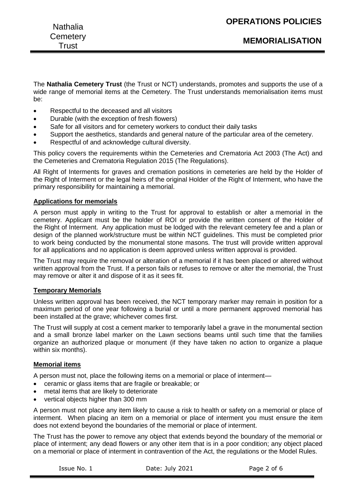| <b>Nathalia</b> | <b>OPERATIONS POLICIES</b> |
|-----------------|----------------------------|
| Cemetery        | <b>MEMORIALISATION</b>     |
| Trust           |                            |

The **Nathalia Cemetery Trust** (the Trust or NCT) understands, promotes and supports the use of a wide range of memorial items at the Cemetery. The Trust understands memorialisation items must be:

- Respectful to the deceased and all visitors
- Durable (with the exception of fresh flowers)
- Safe for all visitors and for cemetery workers to conduct their daily tasks
- Support the aesthetics, standards and general nature of the particular area of the cemetery.
- Respectful of and acknowledge cultural diversity.

This policy covers the requirements within the Cemeteries and Crematoria Act 2003 (The Act) and the Cemeteries and Crematoria Regulation 2015 (The Regulations).

All Right of Interments for graves and cremation positions in cemeteries are held by the Holder of the Right of Interment or the legal heirs of the original Holder of the Right of Interment, who have the primary responsibility for maintaining a memorial.

# **Applications for memorials**

A person must apply in writing to the Trust for approval to establish or alter a memorial in the cemetery. Applicant must be the holder of ROI or provide the written consent of the Holder of the Right of Interment. Any application must be lodged with the relevant cemetery fee and a plan or design of the planned work/structure must be within NCT guidelines. This must be completed prior to work being conducted by the monumental stone masons. The trust will provide written approval for all applications and no application is deem approved unless written approval is provided.

The Trust may require the removal or alteration of a memorial if it has been placed or altered without written approval from the Trust. If a person fails or refuses to remove or alter the memorial, the Trust may remove or alter it and dispose of it as it sees fit.

# **Temporary Memorials**

Unless written approval has been received, the NCT temporary marker may remain in position for a maximum period of one year following a burial or until a more permanent approved memorial has been installed at the grave; whichever comes first.

The Trust will supply at cost a cement marker to temporarily label a grave in the monumental section and a small bronze label marker on the Lawn sections beams until such time that the families organize an authorized plaque or monument (if they have taken no action to organize a plaque within six months).

# **Memorial items**

A person must not, place the following items on a memorial or place of interment—

- ceramic or glass items that are fragile or breakable; or
- metal items that are likely to deteriorate
- vertical objects higher than 300 mm

A person must not place any item likely to cause a risk to health or safety on a memorial or place of interment. When placing an item on a memorial or place of interment you must ensure the item does not extend beyond the boundaries of the memorial or place of interment.

The Trust has the power to remove any object that extends beyond the boundary of the memorial or place of interment; any dead flowers or any other item that is in a poor condition; any object placed on a memorial or place of interment in contravention of the Act, the regulations or the Model Rules.

Issue No. 1 Date: July 2021 Page 2 of 6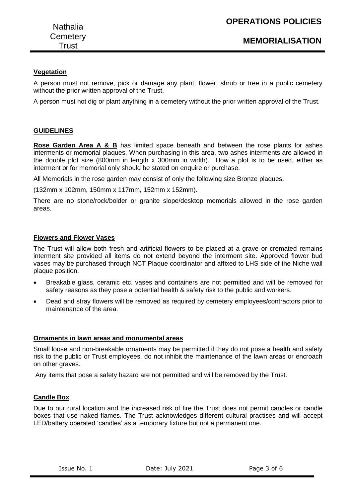# **Vegetation**

A person must not remove, pick or damage any plant, flower, shrub or tree in a public cemetery without the prior written approval of the Trust.

A person must not dig or plant anything in a cemetery without the prior written approval of the Trust.

# **GUIDELINES**

**Rose Garden Area A & B** has limited space beneath and between the rose plants for ashes interments or memorial plaques. When purchasing in this area, two ashes interments are allowed in the double plot size (800mm in length x 300mm in width). How a plot is to be used, either as interment or for memorial only should be stated on enquire or purchase.

All Memorials in the rose garden may consist of only the following size Bronze plaques.

(132mm x 102mm, 150mm x 117mm, 152mm x 152mm).

There are no stone/rock/bolder or granite slope/desktop memorials allowed in the rose garden areas.

# **Flowers and Flower Vases**

The Trust will allow both fresh and artificial flowers to be placed at a grave or cremated remains interment site provided all items do not extend beyond the interment site. Approved flower bud vases may be purchased through NCT Plaque coordinator and affixed to LHS side of the Niche wall plaque position.

- Breakable glass, ceramic etc. vases and containers are not permitted and will be removed for safety reasons as they pose a potential health & safety risk to the public and workers.
- Dead and stray flowers will be removed as required by cemetery employees/contractors prior to maintenance of the area.

#### **Ornaments in lawn areas and monumental areas**

Small loose and non-breakable ornaments may be permitted if they do not pose a health and safety risk to the public or Trust employees, do not inhibit the maintenance of the lawn areas or encroach on other graves.

Any items that pose a safety hazard are not permitted and will be removed by the Trust.

# **Candle Box**

Due to our rural location and the increased risk of fire the Trust does not permit candles or candle boxes that use naked flames. The Trust acknowledges different cultural practises and will accept LED/battery operated 'candles' as a temporary fixture but not a permanent one.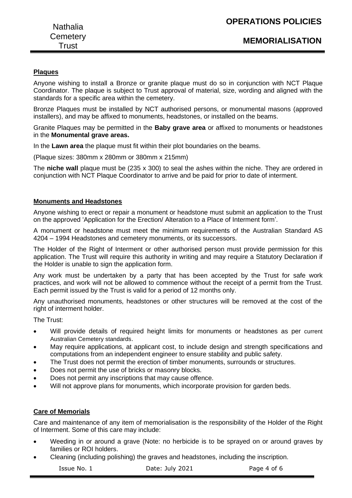# **Plaques**

Anyone wishing to install a Bronze or granite plaque must do so in conjunction with NCT Plaque Coordinator. The plaque is subject to Trust approval of material, size, wording and aligned with the standards for a specific area within the cemetery.

Bronze Plaques must be installed by NCT authorised persons, or monumental masons (approved installers), and may be affixed to monuments, headstones, or installed on the beams.

Granite Plaques may be permitted in the **Baby grave area** or affixed to monuments or headstones in the **Monumental grave areas.**

In the **Lawn area** the plaque must fit within their plot boundaries on the beams.

(Plaque sizes: 380mm x 280mm or 380mm x 215mm)

The **niche wall** plaque must be (235 x 300) to seal the ashes within the niche. They are ordered in conjunction with NCT Plaque Coordinator to arrive and be paid for prior to date of interment.

#### **Monuments and Headstones**

Anyone wishing to erect or repair a monument or headstone must submit an application to the Trust on the approved 'Application for the Erection/ Alteration to a Place of Interment form'.

A monument or headstone must meet the minimum requirements of the Australian Standard AS 4204 – 1994 Headstones and cemetery monuments, or its successors.

The Holder of the Right of Interment or other authorised person must provide permission for this application. The Trust will require this authority in writing and may require a Statutory Declaration if the Holder is unable to sign the application form.

Any work must be undertaken by a party that has been accepted by the Trust for safe work practices, and work will not be allowed to commence without the receipt of a permit from the Trust. Each permit issued by the Trust is valid for a period of 12 months only.

Any unauthorised monuments, headstones or other structures will be removed at the cost of the right of interment holder.

The Trust:

- Will provide details of required height limits for monuments or headstones as per current Australian Cemetery standards.
- May require applications, at applicant cost, to include design and strength specifications and computations from an independent engineer to ensure stability and public safety.
- The Trust does not permit the erection of timber monuments, surrounds or structures.
- Does not permit the use of bricks or masonry blocks.
- Does not permit any inscriptions that may cause offence.
- Will not approve plans for monuments, which incorporate provision for garden beds.

# **Care of Memorials**

Care and maintenance of any item of memorialisation is the responsibility of the Holder of the Right of Interment. Some of this care may include:

- Weeding in or around a grave (Note: no herbicide is to be sprayed on or around graves by families or ROI holders.
- Cleaning (including polishing) the graves and headstones, including the inscription.

Issue No. 1 Date: July 2021 Page 4 of 6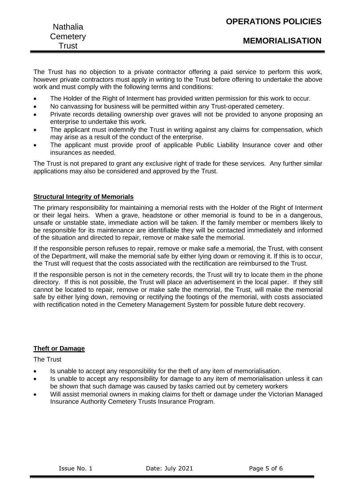| <b>Nathalia</b>   | <b>UPERATIONS PULICIES</b> |
|-------------------|----------------------------|
| Cemetery<br>Trust | <b>MEMORIALISATION</b>     |
|                   |                            |

The Trust has no objection to a private contractor offering a paid service to perform this work, however private contractors must apply in writing to the Trust before offering to undertake the above work and must comply with the following terms and conditions:

- The Holder of the Right of Interment has provided written permission for this work to occur.
- No canvassing for business will be permitted within any Trust-operated cemetery.
- Private records detailing ownership over graves will not be provided to anyone proposing an enterprise to undertake this work.
- The applicant must indemnify the Trust in writing against any claims for compensation, which may arise as a result of the conduct of the enterprise.
- The applicant must provide proof of applicable Public Liability Insurance cover and other insurances as needed.

The Trust is not prepared to grant any exclusive right of trade for these services. Any further similar applications may also be considered and approved by the Trust.

# **Structural Integrity of Memorials**

The primary responsibility for maintaining a memorial rests with the Holder of the Right of Interment or their legal heirs. When a grave, headstone or other memorial is found to be in a dangerous, unsafe or unstable state, immediate action will be taken. If the family member or members likely to be responsible for its maintenance are identifiable they will be contacted immediately and informed of the situation and directed to repair, remove or make safe the memorial.

If the responsible person refuses to repair, remove or make safe a memorial, the Trust, with consent of the Department, will make the memorial safe by either lying down or removing it. If this is to occur, the Trust will request that the costs associated with the rectification are reimbursed to the Trust.

If the responsible person is not in the cemetery records, the Trust will try to locate them in the phone directory. If this is not possible, the Trust will place an advertisement in the local paper. If they still cannot be located to repair, remove or make safe the memorial, the Trust, will make the memorial safe by either lying down, removing or rectifying the footings of the memorial, with costs associated with rectification noted in the Cemetery Management System for possible future debt recovery.

# **Theft or Damage**

The Trust

- Is unable to accept any responsibility for the theft of any item of memorialisation.
- Is unable to accept any responsibility for damage to any item of memorialisation unless it can be shown that such damage was caused by tasks carried out by cemetery workers
- Will assist memorial owners in making claims for theft or damage under the Victorian Managed Insurance Authority Cemetery Trusts Insurance Program.